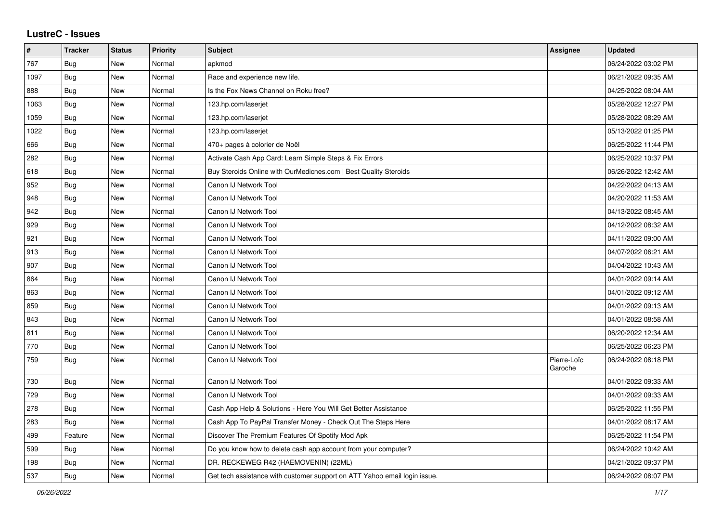## **LustreC - Issues**

| #    | <b>Tracker</b> | <b>Status</b> | <b>Priority</b> | <b>Subject</b>                                                            | Assignee               | <b>Updated</b>      |
|------|----------------|---------------|-----------------|---------------------------------------------------------------------------|------------------------|---------------------|
| 767  | Bug            | <b>New</b>    | Normal          | apkmod                                                                    |                        | 06/24/2022 03:02 PM |
| 1097 | <b>Bug</b>     | <b>New</b>    | Normal          | Race and experience new life.                                             |                        | 06/21/2022 09:35 AM |
| 888  | <b>Bug</b>     | New           | Normal          | Is the Fox News Channel on Roku free?                                     |                        | 04/25/2022 08:04 AM |
| 1063 | Bug            | New           | Normal          | 123.hp.com/laserjet                                                       |                        | 05/28/2022 12:27 PM |
| 1059 | Bug            | New           | Normal          | 123.hp.com/laserjet                                                       |                        | 05/28/2022 08:29 AM |
| 1022 | <b>Bug</b>     | <b>New</b>    | Normal          | 123.hp.com/laserjet                                                       |                        | 05/13/2022 01:25 PM |
| 666  | Bug            | New           | Normal          | 470+ pages à colorier de Noël                                             |                        | 06/25/2022 11:44 PM |
| 282  | Bug            | New           | Normal          | Activate Cash App Card: Learn Simple Steps & Fix Errors                   |                        | 06/25/2022 10:37 PM |
| 618  | Bug            | <b>New</b>    | Normal          | Buy Steroids Online with OurMedicnes.com   Best Quality Steroids          |                        | 06/26/2022 12:42 AM |
| 952  | Bug            | New           | Normal          | Canon IJ Network Tool                                                     |                        | 04/22/2022 04:13 AM |
| 948  | Bug            | New           | Normal          | Canon IJ Network Tool                                                     |                        | 04/20/2022 11:53 AM |
| 942  | Bug            | <b>New</b>    | Normal          | Canon IJ Network Tool                                                     |                        | 04/13/2022 08:45 AM |
| 929  | <b>Bug</b>     | New           | Normal          | Canon IJ Network Tool                                                     |                        | 04/12/2022 08:32 AM |
| 921  | <b>Bug</b>     | New           | Normal          | Canon IJ Network Tool                                                     |                        | 04/11/2022 09:00 AM |
| 913  | Bug            | <b>New</b>    | Normal          | Canon IJ Network Tool                                                     |                        | 04/07/2022 06:21 AM |
| 907  | Bug            | <b>New</b>    | Normal          | Canon IJ Network Tool                                                     |                        | 04/04/2022 10:43 AM |
| 864  | <b>Bug</b>     | New           | Normal          | Canon IJ Network Tool                                                     |                        | 04/01/2022 09:14 AM |
| 863  | <b>Bug</b>     | <b>New</b>    | Normal          | Canon IJ Network Tool                                                     |                        | 04/01/2022 09:12 AM |
| 859  | Bug            | <b>New</b>    | Normal          | Canon IJ Network Tool                                                     |                        | 04/01/2022 09:13 AM |
| 843  | Bug            | New           | Normal          | Canon IJ Network Tool                                                     |                        | 04/01/2022 08:58 AM |
| 811  | <b>Bug</b>     | New           | Normal          | Canon IJ Network Tool                                                     |                        | 06/20/2022 12:34 AM |
| 770  | <b>Bug</b>     | <b>New</b>    | Normal          | Canon IJ Network Tool                                                     |                        | 06/25/2022 06:23 PM |
| 759  | <b>Bug</b>     | <b>New</b>    | Normal          | Canon IJ Network Tool                                                     | Pierre-Loïc<br>Garoche | 06/24/2022 08:18 PM |
| 730  | <b>Bug</b>     | New           | Normal          | Canon IJ Network Tool                                                     |                        | 04/01/2022 09:33 AM |
| 729  | Bug            | <b>New</b>    | Normal          | Canon IJ Network Tool                                                     |                        | 04/01/2022 09:33 AM |
| 278  | <b>Bug</b>     | New           | Normal          | Cash App Help & Solutions - Here You Will Get Better Assistance           |                        | 06/25/2022 11:55 PM |
| 283  | <b>Bug</b>     | New           | Normal          | Cash App To PayPal Transfer Money - Check Out The Steps Here              |                        | 04/01/2022 08:17 AM |
| 499  | Feature        | <b>New</b>    | Normal          | Discover The Premium Features Of Spotify Mod Apk                          |                        | 06/25/2022 11:54 PM |
| 599  | Bug            | <b>New</b>    | Normal          | Do you know how to delete cash app account from your computer?            |                        | 06/24/2022 10:42 AM |
| 198  | Bug            | <b>New</b>    | Normal          | DR. RECKEWEG R42 (HAEMOVENIN) (22ML)                                      |                        | 04/21/2022 09:37 PM |
| 537  | Bug            | New           | Normal          | Get tech assistance with customer support on ATT Yahoo email login issue. |                        | 06/24/2022 08:07 PM |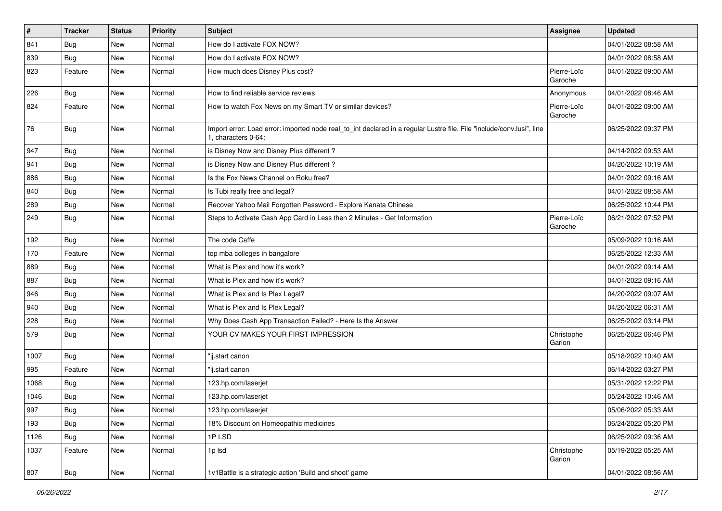| $\vert$ # | <b>Tracker</b> | <b>Status</b> | <b>Priority</b> | <b>Subject</b>                                                                                                                               | <b>Assignee</b>        | <b>Updated</b>      |
|-----------|----------------|---------------|-----------------|----------------------------------------------------------------------------------------------------------------------------------------------|------------------------|---------------------|
| 841       | Bug            | New           | Normal          | How do I activate FOX NOW?                                                                                                                   |                        | 04/01/2022 08:58 AM |
| 839       | Bug            | New           | Normal          | How do I activate FOX NOW?                                                                                                                   |                        | 04/01/2022 08:58 AM |
| 823       | Feature        | New           | Normal          | How much does Disney Plus cost?                                                                                                              | Pierre-Loïc<br>Garoche | 04/01/2022 09:00 AM |
| 226       | Bug            | New           | Normal          | How to find reliable service reviews                                                                                                         | Anonymous              | 04/01/2022 08:46 AM |
| 824       | Feature        | New           | Normal          | How to watch Fox News on my Smart TV or similar devices?                                                                                     | Pierre-Loïc<br>Garoche | 04/01/2022 09:00 AM |
| 76        | Bug            | New           | Normal          | Import error: Load error: imported node real_to_int declared in a regular Lustre file. File "include/conv.lusi", line<br>1, characters 0-64: |                        | 06/25/2022 09:37 PM |
| 947       | Bug            | New           | Normal          | is Disney Now and Disney Plus different?                                                                                                     |                        | 04/14/2022 09:53 AM |
| 941       | Bug            | New           | Normal          | is Disney Now and Disney Plus different?                                                                                                     |                        | 04/20/2022 10:19 AM |
| 886       | <b>Bug</b>     | New           | Normal          | Is the Fox News Channel on Roku free?                                                                                                        |                        | 04/01/2022 09:16 AM |
| 840       | Bug            | New           | Normal          | Is Tubi really free and legal?                                                                                                               |                        | 04/01/2022 08:58 AM |
| 289       | <b>Bug</b>     | New           | Normal          | Recover Yahoo Mail Forgotten Password - Explore Kanata Chinese                                                                               |                        | 06/25/2022 10:44 PM |
| 249       | <b>Bug</b>     | New           | Normal          | Steps to Activate Cash App Card in Less then 2 Minutes - Get Information                                                                     | Pierre-Loïc<br>Garoche | 06/21/2022 07:52 PM |
| 192       | Bug            | New           | Normal          | The code Caffe                                                                                                                               |                        | 05/09/2022 10:16 AM |
| 170       | Feature        | New           | Normal          | top mba colleges in bangalore                                                                                                                |                        | 06/25/2022 12:33 AM |
| 889       | Bug            | New           | Normal          | What is Plex and how it's work?                                                                                                              |                        | 04/01/2022 09:14 AM |
| 887       | Bug            | New           | Normal          | What is Plex and how it's work?                                                                                                              |                        | 04/01/2022 09:16 AM |
| 946       | Bug            | New           | Normal          | What is Plex and Is Plex Legal?                                                                                                              |                        | 04/20/2022 09:07 AM |
| 940       | Bug            | New           | Normal          | What is Plex and Is Plex Legal?                                                                                                              |                        | 04/20/2022 06:31 AM |
| 228       | Bug            | New           | Normal          | Why Does Cash App Transaction Failed? - Here Is the Answer                                                                                   |                        | 06/25/2022 03:14 PM |
| 579       | Bug            | New           | Normal          | YOUR CV MAKES YOUR FIRST IMPRESSION                                                                                                          | Christophe<br>Garion   | 06/25/2022 06:46 PM |
| 1007      | Bug            | New           | Normal          | "ij.start canon                                                                                                                              |                        | 05/18/2022 10:40 AM |
| 995       | Feature        | New           | Normal          | 'ij.start canon                                                                                                                              |                        | 06/14/2022 03:27 PM |
| 1068      | Bug            | New           | Normal          | 123.hp.com/laserjet                                                                                                                          |                        | 05/31/2022 12:22 PM |
| 1046      | Bug            | New           | Normal          | 123.hp.com/laserjet                                                                                                                          |                        | 05/24/2022 10:46 AM |
| 997       | Bug            | New           | Normal          | 123.hp.com/laserjet                                                                                                                          |                        | 05/06/2022 05:33 AM |
| 193       | Bug            | New           | Normal          | 18% Discount on Homeopathic medicines                                                                                                        |                        | 06/24/2022 05:20 PM |
| 1126      | Bug            | New           | Normal          | 1PLSD                                                                                                                                        |                        | 06/25/2022 09:36 AM |
| 1037      | Feature        | New           | Normal          | 1p lsd                                                                                                                                       | Christophe<br>Garion   | 05/19/2022 05:25 AM |
| 807       | Bug            | New           | Normal          | 1v1Battle is a strategic action 'Build and shoot' game                                                                                       |                        | 04/01/2022 08:56 AM |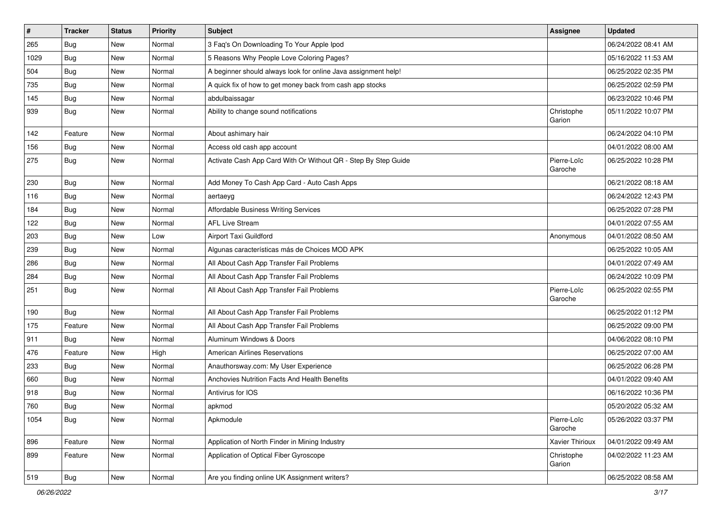| $\sharp$ | <b>Tracker</b> | <b>Status</b> | <b>Priority</b> | <b>Subject</b>                                                 | <b>Assignee</b>        | <b>Updated</b>      |
|----------|----------------|---------------|-----------------|----------------------------------------------------------------|------------------------|---------------------|
| 265      | <b>Bug</b>     | New           | Normal          | 3 Faq's On Downloading To Your Apple Ipod                      |                        | 06/24/2022 08:41 AM |
| 1029     | <b>Bug</b>     | New           | Normal          | 5 Reasons Why People Love Coloring Pages?                      |                        | 05/16/2022 11:53 AM |
| 504      | Bug            | New           | Normal          | A beginner should always look for online Java assignment help! |                        | 06/25/2022 02:35 PM |
| 735      | Bug            | New           | Normal          | A quick fix of how to get money back from cash app stocks      |                        | 06/25/2022 02:59 PM |
| 145      | Bug            | New           | Normal          | abdulbaissagar                                                 |                        | 06/23/2022 10:46 PM |
| 939      | <b>Bug</b>     | New           | Normal          | Ability to change sound notifications                          | Christophe<br>Garion   | 05/11/2022 10:07 PM |
| 142      | Feature        | New           | Normal          | About ashimary hair                                            |                        | 06/24/2022 04:10 PM |
| 156      | <b>Bug</b>     | New           | Normal          | Access old cash app account                                    |                        | 04/01/2022 08:00 AM |
| 275      | <b>Bug</b>     | New           | Normal          | Activate Cash App Card With Or Without QR - Step By Step Guide | Pierre-Loïc<br>Garoche | 06/25/2022 10:28 PM |
| 230      | Bug            | New           | Normal          | Add Money To Cash App Card - Auto Cash Apps                    |                        | 06/21/2022 08:18 AM |
| 116      | Bug            | New           | Normal          | aertaeyg                                                       |                        | 06/24/2022 12:43 PM |
| 184      | <b>Bug</b>     | New           | Normal          | Affordable Business Writing Services                           |                        | 06/25/2022 07:28 PM |
| 122      | Bug            | New           | Normal          | <b>AFL Live Stream</b>                                         |                        | 04/01/2022 07:55 AM |
| 203      | Bug            | New           | Low             | Airport Taxi Guildford                                         | Anonymous              | 04/01/2022 08:50 AM |
| 239      | <b>Bug</b>     | New           | Normal          | Algunas características más de Choices MOD APK                 |                        | 06/25/2022 10:05 AM |
| 286      | Bug            | New           | Normal          | All About Cash App Transfer Fail Problems                      |                        | 04/01/2022 07:49 AM |
| 284      | Bug            | New           | Normal          | All About Cash App Transfer Fail Problems                      |                        | 06/24/2022 10:09 PM |
| 251      | Bug            | New           | Normal          | All About Cash App Transfer Fail Problems                      | Pierre-Loïc<br>Garoche | 06/25/2022 02:55 PM |
| 190      | <b>Bug</b>     | New           | Normal          | All About Cash App Transfer Fail Problems                      |                        | 06/25/2022 01:12 PM |
| 175      | Feature        | New           | Normal          | All About Cash App Transfer Fail Problems                      |                        | 06/25/2022 09:00 PM |
| 911      | Bug            | New           | Normal          | Aluminum Windows & Doors                                       |                        | 04/06/2022 08:10 PM |
| 476      | Feature        | New           | High            | <b>American Airlines Reservations</b>                          |                        | 06/25/2022 07:00 AM |
| 233      | Bug            | New           | Normal          | Anauthorsway.com: My User Experience                           |                        | 06/25/2022 06:28 PM |
| 660      | <b>Bug</b>     | New           | Normal          | Anchovies Nutrition Facts And Health Benefits                  |                        | 04/01/2022 09:40 AM |
| 918      | <b>Bug</b>     | New           | Normal          | Antivirus for IOS                                              |                        | 06/16/2022 10:36 PM |
| 760      | Bug            | New           | Normal          | apkmod                                                         |                        | 05/20/2022 05:32 AM |
| 1054     | <b>Bug</b>     | New           | Normal          | Apkmodule                                                      | Pierre-Loïc<br>Garoche | 05/26/2022 03:37 PM |
| 896      | Feature        | New           | Normal          | Application of North Finder in Mining Industry                 | Xavier Thirioux        | 04/01/2022 09:49 AM |
| 899      | Feature        | New           | Normal          | Application of Optical Fiber Gyroscope                         | Christophe<br>Garion   | 04/02/2022 11:23 AM |
| 519      | <b>Bug</b>     | New           | Normal          | Are you finding online UK Assignment writers?                  |                        | 06/25/2022 08:58 AM |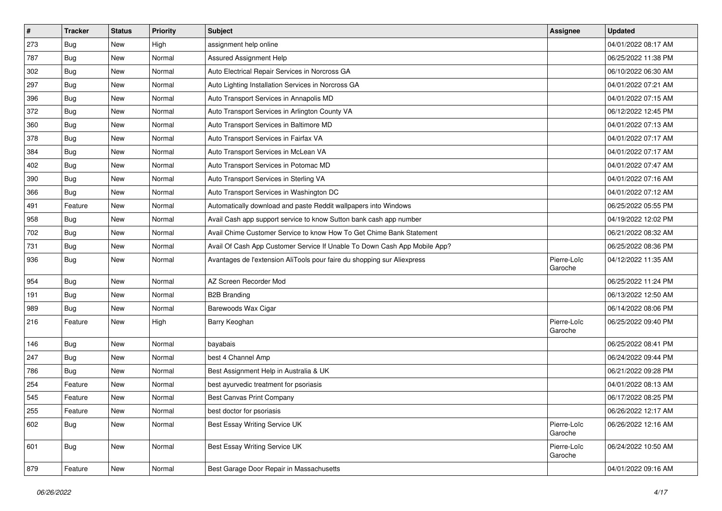| $\sharp$ | <b>Tracker</b> | <b>Status</b> | <b>Priority</b> | Subject                                                                   | <b>Assignee</b>        | <b>Updated</b>      |
|----------|----------------|---------------|-----------------|---------------------------------------------------------------------------|------------------------|---------------------|
| 273      | Bug            | New           | High            | assignment help online                                                    |                        | 04/01/2022 08:17 AM |
| 787      | Bug            | <b>New</b>    | Normal          | <b>Assured Assignment Help</b>                                            |                        | 06/25/2022 11:38 PM |
| 302      | Bug            | New           | Normal          | Auto Electrical Repair Services in Norcross GA                            |                        | 06/10/2022 06:30 AM |
| 297      | Bug            | New           | Normal          | Auto Lighting Installation Services in Norcross GA                        |                        | 04/01/2022 07:21 AM |
| 396      | Bug            | New           | Normal          | Auto Transport Services in Annapolis MD                                   |                        | 04/01/2022 07:15 AM |
| 372      | Bug            | New           | Normal          | Auto Transport Services in Arlington County VA                            |                        | 06/12/2022 12:45 PM |
| 360      | Bug            | New           | Normal          | Auto Transport Services in Baltimore MD                                   |                        | 04/01/2022 07:13 AM |
| 378      | <b>Bug</b>     | New           | Normal          | Auto Transport Services in Fairfax VA                                     |                        | 04/01/2022 07:17 AM |
| 384      | <b>Bug</b>     | New           | Normal          | Auto Transport Services in McLean VA                                      |                        | 04/01/2022 07:17 AM |
| 402      | Bug            | New           | Normal          | Auto Transport Services in Potomac MD                                     |                        | 04/01/2022 07:47 AM |
| 390      | <b>Bug</b>     | New           | Normal          | Auto Transport Services in Sterling VA                                    |                        | 04/01/2022 07:16 AM |
| 366      | Bug            | New           | Normal          | Auto Transport Services in Washington DC                                  |                        | 04/01/2022 07:12 AM |
| 491      | Feature        | New           | Normal          | Automatically download and paste Reddit wallpapers into Windows           |                        | 06/25/2022 05:55 PM |
| 958      | <b>Bug</b>     | New           | Normal          | Avail Cash app support service to know Sutton bank cash app number        |                        | 04/19/2022 12:02 PM |
| 702      | Bug            | New           | Normal          | Avail Chime Customer Service to know How To Get Chime Bank Statement      |                        | 06/21/2022 08:32 AM |
| 731      | Bug            | New           | Normal          | Avail Of Cash App Customer Service If Unable To Down Cash App Mobile App? |                        | 06/25/2022 08:36 PM |
| 936      | <b>Bug</b>     | New           | Normal          | Avantages de l'extension AliTools pour faire du shopping sur Aliexpress   | Pierre-Loïc<br>Garoche | 04/12/2022 11:35 AM |
| 954      | Bug            | New           | Normal          | AZ Screen Recorder Mod                                                    |                        | 06/25/2022 11:24 PM |
| 191      | Bug            | New           | Normal          | <b>B2B Branding</b>                                                       |                        | 06/13/2022 12:50 AM |
| 989      | Bug            | New           | Normal          | Barewoods Wax Cigar                                                       |                        | 06/14/2022 08:06 PM |
| 216      | Feature        | New           | High            | Barry Keoghan                                                             | Pierre-Loïc<br>Garoche | 06/25/2022 09:40 PM |
| 146      | <b>Bug</b>     | New           | Normal          | bayabais                                                                  |                        | 06/25/2022 08:41 PM |
| 247      | Bug            | New           | Normal          | best 4 Channel Amp                                                        |                        | 06/24/2022 09:44 PM |
| 786      | Bug            | New           | Normal          | Best Assignment Help in Australia & UK                                    |                        | 06/21/2022 09:28 PM |
| 254      | Feature        | New           | Normal          | best ayurvedic treatment for psoriasis                                    |                        | 04/01/2022 08:13 AM |
| 545      | Feature        | <b>New</b>    | Normal          | <b>Best Canvas Print Company</b>                                          |                        | 06/17/2022 08:25 PM |
| 255      | Feature        | New           | Normal          | best doctor for psoriasis                                                 |                        | 06/26/2022 12:17 AM |
| 602      | <b>Bug</b>     | New           | Normal          | Best Essay Writing Service UK                                             | Pierre-Loïc<br>Garoche | 06/26/2022 12:16 AM |
| 601      | <b>Bug</b>     | New           | Normal          | Best Essay Writing Service UK                                             | Pierre-Loïc<br>Garoche | 06/24/2022 10:50 AM |
| 879      | Feature        | New           | Normal          | Best Garage Door Repair in Massachusetts                                  |                        | 04/01/2022 09:16 AM |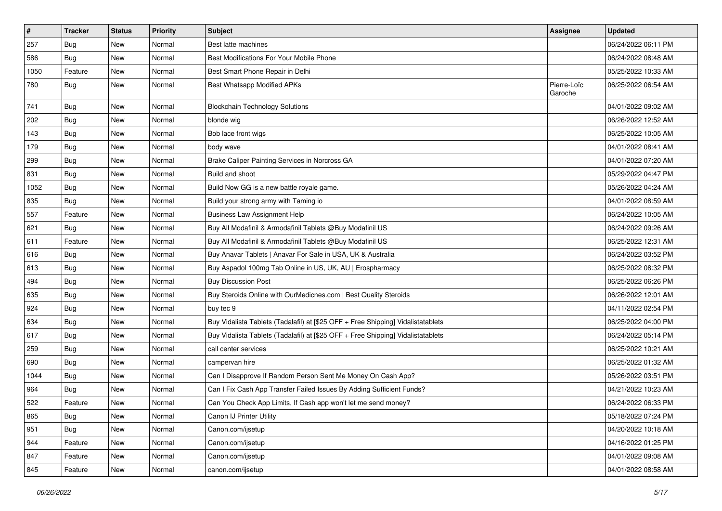| #    | <b>Tracker</b> | <b>Status</b> | <b>Priority</b> | <b>Subject</b>                                                                   | <b>Assignee</b>        | <b>Updated</b>      |
|------|----------------|---------------|-----------------|----------------------------------------------------------------------------------|------------------------|---------------------|
| 257  | Bug            | New           | Normal          | Best latte machines                                                              |                        | 06/24/2022 06:11 PM |
| 586  | <b>Bug</b>     | <b>New</b>    | Normal          | Best Modifications For Your Mobile Phone                                         |                        | 06/24/2022 08:48 AM |
| 1050 | Feature        | New           | Normal          | Best Smart Phone Repair in Delhi                                                 |                        | 05/25/2022 10:33 AM |
| 780  | Bug            | New           | Normal          | Best Whatsapp Modified APKs                                                      | Pierre-Loïc<br>Garoche | 06/25/2022 06:54 AM |
| 741  | <b>Bug</b>     | New           | Normal          | <b>Blockchain Technology Solutions</b>                                           |                        | 04/01/2022 09:02 AM |
| 202  | Bug            | New           | Normal          | blonde wig                                                                       |                        | 06/26/2022 12:52 AM |
| 143  | Bug            | New           | Normal          | Bob lace front wigs                                                              |                        | 06/25/2022 10:05 AM |
| 179  | Bug            | New           | Normal          | body wave                                                                        |                        | 04/01/2022 08:41 AM |
| 299  | Bug            | New           | Normal          | Brake Caliper Painting Services in Norcross GA                                   |                        | 04/01/2022 07:20 AM |
| 831  | Bug            | New           | Normal          | Build and shoot                                                                  |                        | 05/29/2022 04:47 PM |
| 1052 | Bug            | New           | Normal          | Build Now GG is a new battle royale game.                                        |                        | 05/26/2022 04:24 AM |
| 835  | <b>Bug</b>     | New           | Normal          | Build your strong army with Taming io                                            |                        | 04/01/2022 08:59 AM |
| 557  | Feature        | New           | Normal          | <b>Business Law Assignment Help</b>                                              |                        | 06/24/2022 10:05 AM |
| 621  | <b>Bug</b>     | New           | Normal          | Buy All Modafinil & Armodafinil Tablets @Buy Modafinil US                        |                        | 06/24/2022 09:26 AM |
| 611  | Feature        | New           | Normal          | Buy All Modafinil & Armodafinil Tablets @Buy Modafinil US                        |                        | 06/25/2022 12:31 AM |
| 616  | Bug            | New           | Normal          | Buy Anavar Tablets   Anavar For Sale in USA, UK & Australia                      |                        | 06/24/2022 03:52 PM |
| 613  | Bug            | New           | Normal          | Buy Aspadol 100mg Tab Online in US, UK, AU   Erospharmacy                        |                        | 06/25/2022 08:32 PM |
| 494  | Bug            | New           | Normal          | <b>Buy Discussion Post</b>                                                       |                        | 06/25/2022 06:26 PM |
| 635  | Bug            | New           | Normal          | Buy Steroids Online with OurMedicnes.com   Best Quality Steroids                 |                        | 06/26/2022 12:01 AM |
| 924  | Bug            | New           | Normal          | buy tec 9                                                                        |                        | 04/11/2022 02:54 PM |
| 634  | <b>Bug</b>     | New           | Normal          | Buy Vidalista Tablets (Tadalafil) at [\$25 OFF + Free Shipping] Vidalistatablets |                        | 06/25/2022 04:00 PM |
| 617  | Bug            | New           | Normal          | Buy Vidalista Tablets (Tadalafil) at [\$25 OFF + Free Shipping] Vidalistatablets |                        | 06/24/2022 05:14 PM |
| 259  | <b>Bug</b>     | New           | Normal          | call center services                                                             |                        | 06/25/2022 10:21 AM |
| 690  | Bug            | New           | Normal          | campervan hire                                                                   |                        | 06/25/2022 01:32 AM |
| 1044 | <b>Bug</b>     | New           | Normal          | Can I Disapprove If Random Person Sent Me Money On Cash App?                     |                        | 05/26/2022 03:51 PM |
| 964  | Bug            | New           | Normal          | Can I Fix Cash App Transfer Failed Issues By Adding Sufficient Funds?            |                        | 04/21/2022 10:23 AM |
| 522  | Feature        | New           | Normal          | Can You Check App Limits, If Cash app won't let me send money?                   |                        | 06/24/2022 06:33 PM |
| 865  | Bug            | New           | Normal          | Canon IJ Printer Utility                                                         |                        | 05/18/2022 07:24 PM |
| 951  | Bug            | New           | Normal          | Canon.com/ijsetup                                                                |                        | 04/20/2022 10:18 AM |
| 944  | Feature        | New           | Normal          | Canon.com/ijsetup                                                                |                        | 04/16/2022 01:25 PM |
| 847  | Feature        | New           | Normal          | Canon.com/ijsetup                                                                |                        | 04/01/2022 09:08 AM |
| 845  | Feature        | New           | Normal          | canon.com/ijsetup                                                                |                        | 04/01/2022 08:58 AM |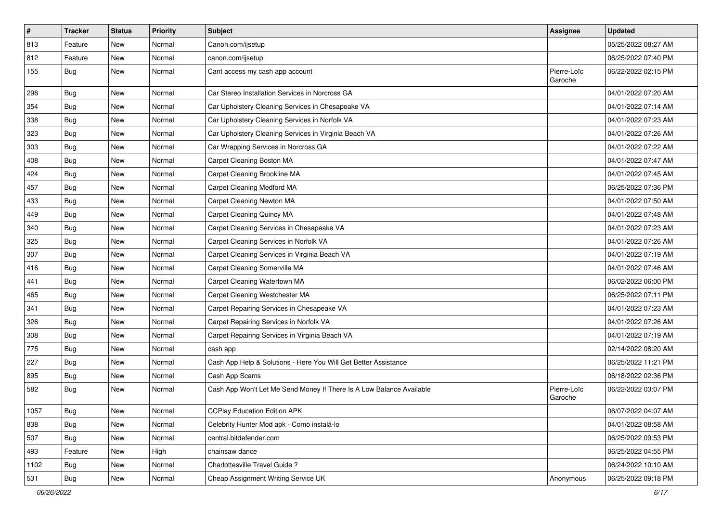| $\vert$ # | <b>Tracker</b> | <b>Status</b> | <b>Priority</b> | <b>Subject</b>                                                       | <b>Assignee</b>        | <b>Updated</b>      |
|-----------|----------------|---------------|-----------------|----------------------------------------------------------------------|------------------------|---------------------|
| 813       | Feature        | New           | Normal          | Canon.com/ijsetup                                                    |                        | 05/25/2022 08:27 AM |
| 812       | Feature        | <b>New</b>    | Normal          | canon.com/ijsetup                                                    |                        | 06/25/2022 07:40 PM |
| 155       | Bug            | New           | Normal          | Cant access my cash app account                                      | Pierre-Loïc<br>Garoche | 06/22/2022 02:15 PM |
| 298       | Bug            | <b>New</b>    | Normal          | Car Stereo Installation Services in Norcross GA                      |                        | 04/01/2022 07:20 AM |
| 354       | <b>Bug</b>     | New           | Normal          | Car Upholstery Cleaning Services in Chesapeake VA                    |                        | 04/01/2022 07:14 AM |
| 338       | <b>Bug</b>     | New           | Normal          | Car Upholstery Cleaning Services in Norfolk VA                       |                        | 04/01/2022 07:23 AM |
| 323       | Bug            | New           | Normal          | Car Upholstery Cleaning Services in Virginia Beach VA                |                        | 04/01/2022 07:26 AM |
| 303       | <b>Bug</b>     | New           | Normal          | Car Wrapping Services in Norcross GA                                 |                        | 04/01/2022 07:22 AM |
| 408       | Bug            | <b>New</b>    | Normal          | Carpet Cleaning Boston MA                                            |                        | 04/01/2022 07:47 AM |
| 424       | Bug            | New           | Normal          | Carpet Cleaning Brookline MA                                         |                        | 04/01/2022 07:45 AM |
| 457       | <b>Bug</b>     | New           | Normal          | Carpet Cleaning Medford MA                                           |                        | 06/25/2022 07:36 PM |
| 433       | Bug            | <b>New</b>    | Normal          | Carpet Cleaning Newton MA                                            |                        | 04/01/2022 07:50 AM |
| 449       | <b>Bug</b>     | New           | Normal          | Carpet Cleaning Quincy MA                                            |                        | 04/01/2022 07:48 AM |
| 340       | <b>Bug</b>     | New           | Normal          | Carpet Cleaning Services in Chesapeake VA                            |                        | 04/01/2022 07:23 AM |
| 325       | <b>Bug</b>     | New           | Normal          | Carpet Cleaning Services in Norfolk VA                               |                        | 04/01/2022 07:26 AM |
| 307       | <b>Bug</b>     | New           | Normal          | Carpet Cleaning Services in Virginia Beach VA                        |                        | 04/01/2022 07:19 AM |
| 416       | Bug            | <b>New</b>    | Normal          | Carpet Cleaning Somerville MA                                        |                        | 04/01/2022 07:46 AM |
| 441       | <b>Bug</b>     | New           | Normal          | Carpet Cleaning Watertown MA                                         |                        | 06/02/2022 06:00 PM |
| 465       | Bug            | New           | Normal          | Carpet Cleaning Westchester MA                                       |                        | 06/25/2022 07:11 PM |
| 341       | Bug            | <b>New</b>    | Normal          | Carpet Repairing Services in Chesapeake VA                           |                        | 04/01/2022 07:23 AM |
| 326       | Bug            | <b>New</b>    | Normal          | Carpet Repairing Services in Norfolk VA                              |                        | 04/01/2022 07:26 AM |
| 308       | Bug            | <b>New</b>    | Normal          | Carpet Repairing Services in Virginia Beach VA                       |                        | 04/01/2022 07:19 AM |
| 775       | <b>Bug</b>     | New           | Normal          | cash app                                                             |                        | 02/14/2022 08:20 AM |
| 227       | <b>Bug</b>     | New           | Normal          | Cash App Help & Solutions - Here You Will Get Better Assistance      |                        | 06/25/2022 11:21 PM |
| 895       | <b>Bug</b>     | <b>New</b>    | Normal          | Cash App Scams                                                       |                        | 06/18/2022 02:36 PM |
| 582       | <b>Bug</b>     | New           | Normal          | Cash App Won't Let Me Send Money If There Is A Low Balance Available | Pierre-Loïc<br>Garoche | 06/22/2022 03:07 PM |
| 1057      | Bug            | New           | Normal          | <b>CCPlay Education Edition APK</b>                                  |                        | 06/07/2022 04:07 AM |
| 838       | Bug            | New           | Normal          | Celebrity Hunter Mod apk - Como instalá-lo                           |                        | 04/01/2022 08:58 AM |
| 507       | Bug            | New           | Normal          | central.bitdefender.com                                              |                        | 06/25/2022 09:53 PM |
| 493       | Feature        | New           | High            | chainsaw dance                                                       |                        | 06/25/2022 04:55 PM |
| 1102      | Bug            | New           | Normal          | Charlottesville Travel Guide?                                        |                        | 06/24/2022 10:10 AM |
| 531       | <b>Bug</b>     | New           | Normal          | Cheap Assignment Writing Service UK                                  | Anonymous              | 06/25/2022 09:18 PM |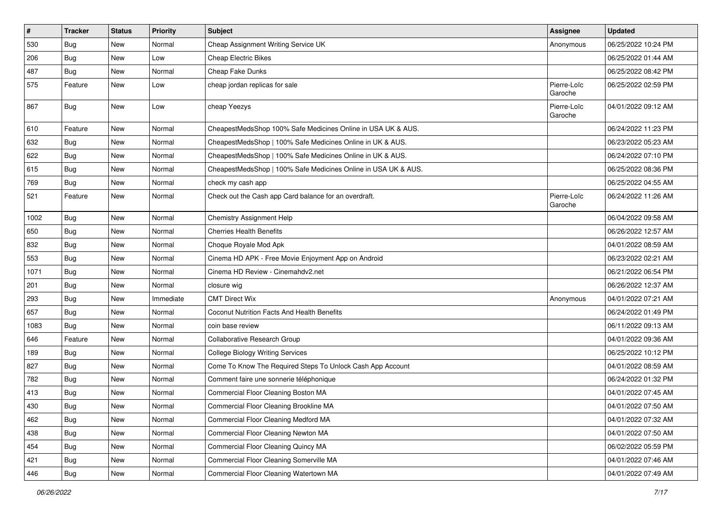| $\vert$ # | <b>Tracker</b> | <b>Status</b> | Priority  | Subject                                                        | <b>Assignee</b>        | <b>Updated</b>      |
|-----------|----------------|---------------|-----------|----------------------------------------------------------------|------------------------|---------------------|
| 530       | Bug            | New           | Normal    | Cheap Assignment Writing Service UK                            | Anonymous              | 06/25/2022 10:24 PM |
| 206       | Bug            | New           | Low       | <b>Cheap Electric Bikes</b>                                    |                        | 06/25/2022 01:44 AM |
| 487       | Bug            | New           | Normal    | Cheap Fake Dunks                                               |                        | 06/25/2022 08:42 PM |
| 575       | Feature        | New           | Low       | cheap jordan replicas for sale                                 | Pierre-Loïc<br>Garoche | 06/25/2022 02:59 PM |
| 867       | Bug            | New           | Low       | cheap Yeezys                                                   | Pierre-Loïc<br>Garoche | 04/01/2022 09:12 AM |
| 610       | Feature        | New           | Normal    | CheapestMedsShop 100% Safe Medicines Online in USA UK & AUS.   |                        | 06/24/2022 11:23 PM |
| 632       | Bug            | New           | Normal    | CheapestMedsShop   100% Safe Medicines Online in UK & AUS.     |                        | 06/23/2022 05:23 AM |
| 622       | <b>Bug</b>     | New           | Normal    | CheapestMedsShop   100% Safe Medicines Online in UK & AUS.     |                        | 06/24/2022 07:10 PM |
| 615       | Bug            | New           | Normal    | CheapestMedsShop   100% Safe Medicines Online in USA UK & AUS. |                        | 06/25/2022 08:36 PM |
| 769       | <b>Bug</b>     | New           | Normal    | check my cash app                                              |                        | 06/25/2022 04:55 AM |
| 521       | Feature        | New           | Normal    | Check out the Cash app Card balance for an overdraft.          | Pierre-Loïc<br>Garoche | 06/24/2022 11:26 AM |
| 1002      | Bug            | New           | Normal    | Chemistry Assignment Help                                      |                        | 06/04/2022 09:58 AM |
| 650       | <b>Bug</b>     | New           | Normal    | <b>Cherries Health Benefits</b>                                |                        | 06/26/2022 12:57 AM |
| 832       | <b>Bug</b>     | New           | Normal    | Choque Royale Mod Apk                                          |                        | 04/01/2022 08:59 AM |
| 553       | Bug            | New           | Normal    | Cinema HD APK - Free Movie Enjoyment App on Android            |                        | 06/23/2022 02:21 AM |
| 1071      | Bug            | New           | Normal    | Cinema HD Review - Cinemahdv2.net                              |                        | 06/21/2022 06:54 PM |
| 201       | Bug            | New           | Normal    | closure wig                                                    |                        | 06/26/2022 12:37 AM |
| 293       | Bug            | New           | Immediate | <b>CMT Direct Wix</b>                                          | Anonymous              | 04/01/2022 07:21 AM |
| 657       | Bug            | New           | Normal    | Coconut Nutrition Facts And Health Benefits                    |                        | 06/24/2022 01:49 PM |
| 1083      | Bug            | New           | Normal    | coin base review                                               |                        | 06/11/2022 09:13 AM |
| 646       | Feature        | New           | Normal    | Collaborative Research Group                                   |                        | 04/01/2022 09:36 AM |
| 189       | Bug            | New           | Normal    | <b>College Biology Writing Services</b>                        |                        | 06/25/2022 10:12 PM |
| 827       | Bug            | New           | Normal    | Come To Know The Required Steps To Unlock Cash App Account     |                        | 04/01/2022 08:59 AM |
| 782       | Bug            | New           | Normal    | Comment faire une sonnerie téléphonique                        |                        | 06/24/2022 01:32 PM |
| 413       | Bug            | New           | Normal    | Commercial Floor Cleaning Boston MA                            |                        | 04/01/2022 07:45 AM |
| 430       | Bug            | New           | Normal    | Commercial Floor Cleaning Brookline MA                         |                        | 04/01/2022 07:50 AM |
| 462       | <b>Bug</b>     | New           | Normal    | Commercial Floor Cleaning Medford MA                           |                        | 04/01/2022 07:32 AM |
| 438       | <b>Bug</b>     | New           | Normal    | Commercial Floor Cleaning Newton MA                            |                        | 04/01/2022 07:50 AM |
| 454       | <b>Bug</b>     | New           | Normal    | Commercial Floor Cleaning Quincy MA                            |                        | 06/02/2022 05:59 PM |
| 421       | Bug            | New           | Normal    | Commercial Floor Cleaning Somerville MA                        |                        | 04/01/2022 07:46 AM |
| 446       | Bug            | New           | Normal    | Commercial Floor Cleaning Watertown MA                         |                        | 04/01/2022 07:49 AM |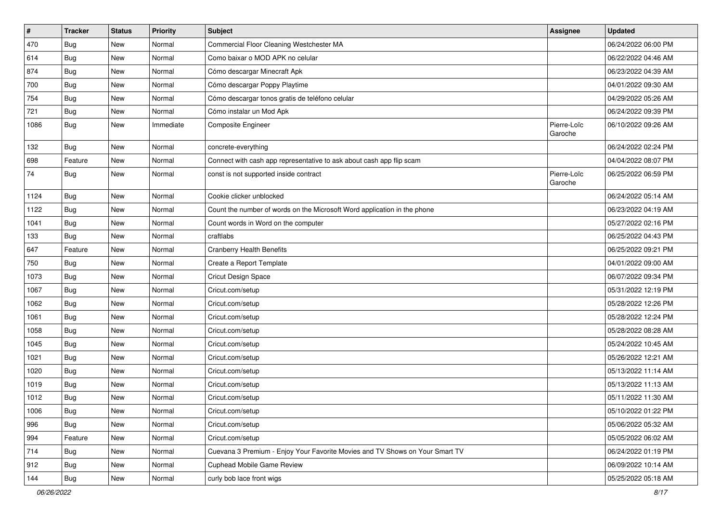| $\sharp$ | <b>Tracker</b> | <b>Status</b> | <b>Priority</b> | <b>Subject</b>                                                               | <b>Assignee</b>        | <b>Updated</b>      |
|----------|----------------|---------------|-----------------|------------------------------------------------------------------------------|------------------------|---------------------|
| 470      | Bug            | New           | Normal          | Commercial Floor Cleaning Westchester MA                                     |                        | 06/24/2022 06:00 PM |
| 614      | Bug            | New           | Normal          | Como baixar o MOD APK no celular                                             |                        | 06/22/2022 04:46 AM |
| 874      | Bug            | New           | Normal          | Cómo descargar Minecraft Apk                                                 |                        | 06/23/2022 04:39 AM |
| 700      | Bug            | New           | Normal          | Cómo descargar Poppy Playtime                                                |                        | 04/01/2022 09:30 AM |
| 754      | Bug            | New           | Normal          | Cómo descargar tonos gratis de teléfono celular                              |                        | 04/29/2022 05:26 AM |
| 721      | Bug            | New           | Normal          | Cómo instalar un Mod Apk                                                     |                        | 06/24/2022 09:39 PM |
| 1086     | <b>Bug</b>     | New           | Immediate       | Composite Engineer                                                           | Pierre-Loïc<br>Garoche | 06/10/2022 09:26 AM |
| 132      | Bug            | New           | Normal          | concrete-everything                                                          |                        | 06/24/2022 02:24 PM |
| 698      | Feature        | New           | Normal          | Connect with cash app representative to ask about cash app flip scam         |                        | 04/04/2022 08:07 PM |
| 74       | <b>Bug</b>     | New           | Normal          | const is not supported inside contract                                       | Pierre-Loïc<br>Garoche | 06/25/2022 06:59 PM |
| 1124     | Bug            | New           | Normal          | Cookie clicker unblocked                                                     |                        | 06/24/2022 05:14 AM |
| 1122     | Bug            | New           | Normal          | Count the number of words on the Microsoft Word application in the phone     |                        | 06/23/2022 04:19 AM |
| 1041     | <b>Bug</b>     | New           | Normal          | Count words in Word on the computer                                          |                        | 05/27/2022 02:16 PM |
| 133      | Bug            | New           | Normal          | craftlabs                                                                    |                        | 06/25/2022 04:43 PM |
| 647      | Feature        | New           | Normal          | <b>Cranberry Health Benefits</b>                                             |                        | 06/25/2022 09:21 PM |
| 750      | Bug            | New           | Normal          | Create a Report Template                                                     |                        | 04/01/2022 09:00 AM |
| 1073     | <b>Bug</b>     | New           | Normal          | Cricut Design Space                                                          |                        | 06/07/2022 09:34 PM |
| 1067     | Bug            | New           | Normal          | Cricut.com/setup                                                             |                        | 05/31/2022 12:19 PM |
| 1062     | Bug            | New           | Normal          | Cricut.com/setup                                                             |                        | 05/28/2022 12:26 PM |
| 1061     | Bug            | New           | Normal          | Cricut.com/setup                                                             |                        | 05/28/2022 12:24 PM |
| 1058     | Bug            | New           | Normal          | Cricut.com/setup                                                             |                        | 05/28/2022 08:28 AM |
| 1045     | Bug            | New           | Normal          | Cricut.com/setup                                                             |                        | 05/24/2022 10:45 AM |
| 1021     | Bug            | New           | Normal          | Cricut.com/setup                                                             |                        | 05/26/2022 12:21 AM |
| 1020     | Bug            | New           | Normal          | Cricut.com/setup                                                             |                        | 05/13/2022 11:14 AM |
| 1019     | <b>Bug</b>     | New           | Normal          | Cricut.com/setup                                                             |                        | 05/13/2022 11:13 AM |
| 1012     | Bug            | <b>New</b>    | Normal          | Cricut.com/setup                                                             |                        | 05/11/2022 11:30 AM |
| 1006     | Bug            | New           | Normal          | Cricut.com/setup                                                             |                        | 05/10/2022 01:22 PM |
| 996      | <b>Bug</b>     | New           | Normal          | Cricut.com/setup                                                             |                        | 05/06/2022 05:32 AM |
| 994      | Feature        | New           | Normal          | Cricut.com/setup                                                             |                        | 05/05/2022 06:02 AM |
| 714      | Bug            | New           | Normal          | Cuevana 3 Premium - Enjoy Your Favorite Movies and TV Shows on Your Smart TV |                        | 06/24/2022 01:19 PM |
| 912      | <b>Bug</b>     | New           | Normal          | Cuphead Mobile Game Review                                                   |                        | 06/09/2022 10:14 AM |
| 144      | <b>Bug</b>     | New           | Normal          | curly bob lace front wigs                                                    |                        | 05/25/2022 05:18 AM |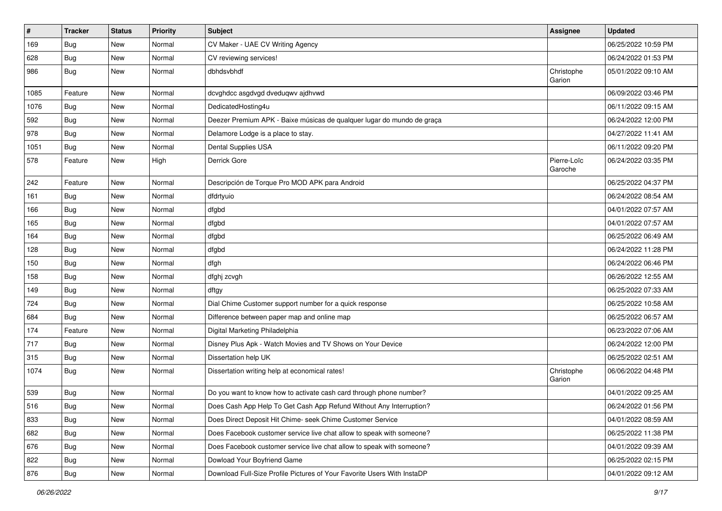| $\sharp$ | <b>Tracker</b> | <b>Status</b> | <b>Priority</b> | <b>Subject</b>                                                          | <b>Assignee</b>        | <b>Updated</b>      |
|----------|----------------|---------------|-----------------|-------------------------------------------------------------------------|------------------------|---------------------|
| 169      | Bug            | New           | Normal          | CV Maker - UAE CV Writing Agency                                        |                        | 06/25/2022 10:59 PM |
| 628      | <b>Bug</b>     | <b>New</b>    | Normal          | CV reviewing services!                                                  |                        | 06/24/2022 01:53 PM |
| 986      | Bug            | New           | Normal          | dbhdsvbhdf                                                              | Christophe<br>Garion   | 05/01/2022 09:10 AM |
| 1085     | Feature        | New           | Normal          | dcvghdcc asgdvgd dveduqwv ajdhvwd                                       |                        | 06/09/2022 03:46 PM |
| 1076     | <b>Bug</b>     | New           | Normal          | DedicatedHosting4u                                                      |                        | 06/11/2022 09:15 AM |
| 592      | Bug            | New           | Normal          | Deezer Premium APK - Baixe músicas de qualquer lugar do mundo de graça  |                        | 06/24/2022 12:00 PM |
| 978      | Bug            | New           | Normal          | Delamore Lodge is a place to stay.                                      |                        | 04/27/2022 11:41 AM |
| 1051     | <b>Bug</b>     | New           | Normal          | Dental Supplies USA                                                     |                        | 06/11/2022 09:20 PM |
| 578      | Feature        | New           | High            | Derrick Gore                                                            | Pierre-Loïc<br>Garoche | 06/24/2022 03:35 PM |
| 242      | Feature        | New           | Normal          | Descripción de Torque Pro MOD APK para Android                          |                        | 06/25/2022 04:37 PM |
| 161      | Bug            | New           | Normal          | dfdrtyuio                                                               |                        | 06/24/2022 08:54 AM |
| 166      | <b>Bug</b>     | New           | Normal          | dfgbd                                                                   |                        | 04/01/2022 07:57 AM |
| 165      | <b>Bug</b>     | New           | Normal          | dfgbd                                                                   |                        | 04/01/2022 07:57 AM |
| 164      | Bug            | New           | Normal          | dfgbd                                                                   |                        | 06/25/2022 06:49 AM |
| 128      | <b>Bug</b>     | <b>New</b>    | Normal          | dfgbd                                                                   |                        | 06/24/2022 11:28 PM |
| 150      | Bug            | New           | Normal          | dfgh                                                                    |                        | 06/24/2022 06:46 PM |
| 158      | <b>Bug</b>     | New           | Normal          | dfghj zcvgh                                                             |                        | 06/26/2022 12:55 AM |
| 149      | Bug            | New           | Normal          | dftgy                                                                   |                        | 06/25/2022 07:33 AM |
| 724      | <b>Bug</b>     | New           | Normal          | Dial Chime Customer support number for a quick response                 |                        | 06/25/2022 10:58 AM |
| 684      | Bug            | New           | Normal          | Difference between paper map and online map                             |                        | 06/25/2022 06:57 AM |
| 174      | Feature        | New           | Normal          | Digital Marketing Philadelphia                                          |                        | 06/23/2022 07:06 AM |
| 717      | <b>Bug</b>     | New           | Normal          | Disney Plus Apk - Watch Movies and TV Shows on Your Device              |                        | 06/24/2022 12:00 PM |
| 315      | Bug            | New           | Normal          | Dissertation help UK                                                    |                        | 06/25/2022 02:51 AM |
| 1074     | <b>Bug</b>     | New           | Normal          | Dissertation writing help at economical rates!                          | Christophe<br>Garion   | 06/06/2022 04:48 PM |
| 539      | <b>Bug</b>     | New           | Normal          | Do you want to know how to activate cash card through phone number?     |                        | 04/01/2022 09:25 AM |
| 516      | Bug            | New           | Normal          | Does Cash App Help To Get Cash App Refund Without Any Interruption?     |                        | 06/24/2022 01:56 PM |
| 833      | <b>Bug</b>     | New           | Normal          | Does Direct Deposit Hit Chime- seek Chime Customer Service              |                        | 04/01/2022 08:59 AM |
| 682      | Bug            | New           | Normal          | Does Facebook customer service live chat allow to speak with someone?   |                        | 06/25/2022 11:38 PM |
| 676      | Bug            | New           | Normal          | Does Facebook customer service live chat allow to speak with someone?   |                        | 04/01/2022 09:39 AM |
| 822      | Bug            | New           | Normal          | Dowload Your Boyfriend Game                                             |                        | 06/25/2022 02:15 PM |
| 876      | <b>Bug</b>     | New           | Normal          | Download Full-Size Profile Pictures of Your Favorite Users With InstaDP |                        | 04/01/2022 09:12 AM |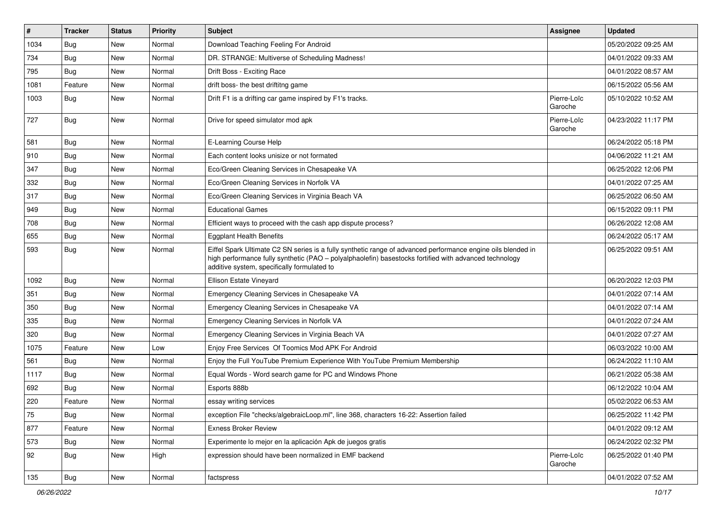| $\vert$ # | <b>Tracker</b> | <b>Status</b> | <b>Priority</b> | <b>Subject</b>                                                                                                                                                                                                                                                        | Assignee               | <b>Updated</b>      |
|-----------|----------------|---------------|-----------------|-----------------------------------------------------------------------------------------------------------------------------------------------------------------------------------------------------------------------------------------------------------------------|------------------------|---------------------|
| 1034      | <b>Bug</b>     | New           | Normal          | Download Teaching Feeling For Android                                                                                                                                                                                                                                 |                        | 05/20/2022 09:25 AM |
| 734       | Bug            | New           | Normal          | DR. STRANGE: Multiverse of Scheduling Madness!                                                                                                                                                                                                                        |                        | 04/01/2022 09:33 AM |
| 795       | <b>Bug</b>     | New           | Normal          | Drift Boss - Exciting Race                                                                                                                                                                                                                                            |                        | 04/01/2022 08:57 AM |
| 1081      | Feature        | New           | Normal          | drift boss- the best driftitng game                                                                                                                                                                                                                                   |                        | 06/15/2022 05:56 AM |
| 1003      | Bug            | New           | Normal          | Drift F1 is a drifting car game inspired by F1's tracks.                                                                                                                                                                                                              | Pierre-Loïc<br>Garoche | 05/10/2022 10:52 AM |
| 727       | <b>Bug</b>     | <b>New</b>    | Normal          | Drive for speed simulator mod apk                                                                                                                                                                                                                                     | Pierre-Loïc<br>Garoche | 04/23/2022 11:17 PM |
| 581       | <b>Bug</b>     | New           | Normal          | E-Learning Course Help                                                                                                                                                                                                                                                |                        | 06/24/2022 05:18 PM |
| 910       | Bug            | New           | Normal          | Each content looks unisize or not formated                                                                                                                                                                                                                            |                        | 04/06/2022 11:21 AM |
| 347       | <b>Bug</b>     | New           | Normal          | Eco/Green Cleaning Services in Chesapeake VA                                                                                                                                                                                                                          |                        | 06/25/2022 12:06 PM |
| 332       | <b>Bug</b>     | New           | Normal          | Eco/Green Cleaning Services in Norfolk VA                                                                                                                                                                                                                             |                        | 04/01/2022 07:25 AM |
| 317       | Bug            | <b>New</b>    | Normal          | Eco/Green Cleaning Services in Virginia Beach VA                                                                                                                                                                                                                      |                        | 06/25/2022 06:50 AM |
| 949       | <b>Bug</b>     | New           | Normal          | <b>Educational Games</b>                                                                                                                                                                                                                                              |                        | 06/15/2022 09:11 PM |
| 708       | <b>Bug</b>     | <b>New</b>    | Normal          | Efficient ways to proceed with the cash app dispute process?                                                                                                                                                                                                          |                        | 06/26/2022 12:08 AM |
| 655       | Bug            | New           | Normal          | <b>Eggplant Health Benefits</b>                                                                                                                                                                                                                                       |                        | 06/24/2022 05:17 AM |
| 593       | <b>Bug</b>     | New           | Normal          | Eiffel Spark Ultimate C2 SN series is a fully synthetic range of advanced performance engine oils blended in<br>high performance fully synthetic (PAO - polyalphaolefin) basestocks fortified with advanced technology<br>additive system, specifically formulated to |                        | 06/25/2022 09:51 AM |
| 1092      | Bug            | New           | Normal          | Ellison Estate Vineyard                                                                                                                                                                                                                                               |                        | 06/20/2022 12:03 PM |
| 351       | Bug            | <b>New</b>    | Normal          | Emergency Cleaning Services in Chesapeake VA                                                                                                                                                                                                                          |                        | 04/01/2022 07:14 AM |
| 350       | Bug            | New           | Normal          | Emergency Cleaning Services in Chesapeake VA                                                                                                                                                                                                                          |                        | 04/01/2022 07:14 AM |
| 335       | Bug            | <b>New</b>    | Normal          | Emergency Cleaning Services in Norfolk VA                                                                                                                                                                                                                             |                        | 04/01/2022 07:24 AM |
| 320       | Bug            | New           | Normal          | Emergency Cleaning Services in Virginia Beach VA                                                                                                                                                                                                                      |                        | 04/01/2022 07:27 AM |
| 1075      | Feature        | <b>New</b>    | Low             | Enjoy Free Services Of Toomics Mod APK For Android                                                                                                                                                                                                                    |                        | 06/03/2022 10:00 AM |
| 561       | Bug            | New           | Normal          | Enjoy the Full YouTube Premium Experience With YouTube Premium Membership                                                                                                                                                                                             |                        | 06/24/2022 11:10 AM |
| 1117      | <b>Bug</b>     | New           | Normal          | Equal Words - Word search game for PC and Windows Phone                                                                                                                                                                                                               |                        | 06/21/2022 05:38 AM |
| 692       | Bug            | New           | Normal          | Esports 888b                                                                                                                                                                                                                                                          |                        | 06/12/2022 10:04 AM |
| 220       | Feature        | New           | Normal          | essay writing services                                                                                                                                                                                                                                                |                        | 05/02/2022 06:53 AM |
| 75        | <b>Bug</b>     | New           | Normal          | exception File "checks/algebraicLoop.ml", line 368, characters 16-22: Assertion failed                                                                                                                                                                                |                        | 06/25/2022 11:42 PM |
| 877       | Feature        | New           | Normal          | <b>Exness Broker Review</b>                                                                                                                                                                                                                                           |                        | 04/01/2022 09:12 AM |
| 573       | <b>Bug</b>     | New           | Normal          | Experimente lo mejor en la aplicación Apk de juegos gratis                                                                                                                                                                                                            |                        | 06/24/2022 02:32 PM |
| 92        | <b>Bug</b>     | New           | High            | expression should have been normalized in EMF backend                                                                                                                                                                                                                 | Pierre-Loïc<br>Garoche | 06/25/2022 01:40 PM |
| 135       | <b>Bug</b>     | New           | Normal          | factspress                                                                                                                                                                                                                                                            |                        | 04/01/2022 07:52 AM |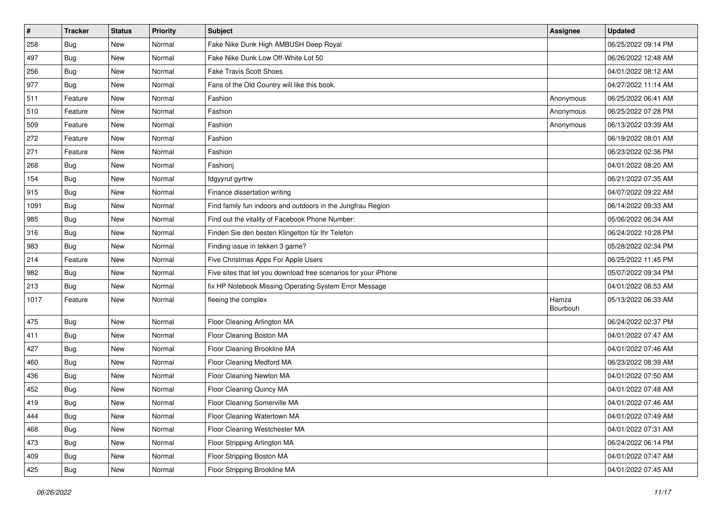| $\sharp$ | <b>Tracker</b> | <b>Status</b> | <b>Priority</b> | <b>Subject</b>                                                  | Assignee          | <b>Updated</b>      |
|----------|----------------|---------------|-----------------|-----------------------------------------------------------------|-------------------|---------------------|
| 258      | <b>Bug</b>     | New           | Normal          | Fake Nike Dunk High AMBUSH Deep Royal                           |                   | 06/25/2022 09:14 PM |
| 497      | <b>Bug</b>     | New           | Normal          | Fake Nike Dunk Low Off-White Lot 50                             |                   | 06/26/2022 12:48 AM |
| 256      | Bug            | New           | Normal          | <b>Fake Travis Scott Shoes</b>                                  |                   | 04/01/2022 08:12 AM |
| 977      | <b>Bug</b>     | New           | Normal          | Fans of the Old Country will like this book.                    |                   | 04/27/2022 11:14 AM |
| 511      | Feature        | New           | Normal          | Fashion                                                         | Anonymous         | 06/25/2022 06:41 AM |
| 510      | Feature        | New           | Normal          | Fashion                                                         | Anonymous         | 06/25/2022 07:28 PM |
| 509      | Feature        | New           | Normal          | Fashion                                                         | Anonymous         | 06/13/2022 03:39 AM |
| 272      | Feature        | New           | Normal          | Fashion                                                         |                   | 06/19/2022 08:01 AM |
| 271      | Feature        | New           | Normal          | Fashion                                                         |                   | 06/23/2022 02:36 PM |
| 268      | Bug            | New           | Normal          | Fashionj                                                        |                   | 04/01/2022 08:20 AM |
| 154      | <b>Bug</b>     | New           | Normal          | fdgyyrut gyrtrw                                                 |                   | 06/21/2022 07:35 AM |
| 915      | Bug            | New           | Normal          | Finance dissertation writing                                    |                   | 04/07/2022 09:22 AM |
| 1091     | Bug            | New           | Normal          | Find family fun indoors and outdoors in the Jungfrau Region     |                   | 06/14/2022 09:33 AM |
| 985      | Bug            | New           | Normal          | Find out the vitality of Facebook Phone Number:                 |                   | 05/06/2022 06:34 AM |
| 316      | Bug            | New           | Normal          | Finden Sie den besten Klingelton für Ihr Telefon                |                   | 06/24/2022 10:28 PM |
| 983      | Bug            | New           | Normal          | Finding issue in tekken 3 game?                                 |                   | 05/28/2022 02:34 PM |
| 214      | Feature        | New           | Normal          | Five Christmas Apps For Apple Users                             |                   | 06/25/2022 11:45 PM |
| 982      | Bug            | New           | Normal          | Five sites that let you download free scenarios for your iPhone |                   | 05/07/2022 09:34 PM |
| 213      | Bug            | New           | Normal          | fix HP Notebook Missing Operating System Error Message          |                   | 04/01/2022 08:53 AM |
| 1017     | Feature        | New           | Normal          | fleeing the complex                                             | Hamza<br>Bourbouh | 05/13/2022 06:33 AM |
| 475      | Bug            | New           | Normal          | Floor Cleaning Arlington MA                                     |                   | 06/24/2022 02:37 PM |
| 411      | Bug            | New           | Normal          | Floor Cleaning Boston MA                                        |                   | 04/01/2022 07:47 AM |
| 427      | Bug            | New           | Normal          | Floor Cleaning Brookline MA                                     |                   | 04/01/2022 07:46 AM |
| 460      | Bug            | New           | Normal          | Floor Cleaning Medford MA                                       |                   | 06/23/2022 08:39 AM |
| 436      | Bug            | New           | Normal          | Floor Cleaning Newton MA                                        |                   | 04/01/2022 07:50 AM |
| 452      | Bug            | New           | Normal          | Floor Cleaning Quincy MA                                        |                   | 04/01/2022 07:48 AM |
| 419      | <b>Bug</b>     | New           | Normal          | Floor Cleaning Somerville MA                                    |                   | 04/01/2022 07:46 AM |
| 444      | Bug            | New           | Normal          | Floor Cleaning Watertown MA                                     |                   | 04/01/2022 07:49 AM |
| 468      | <b>Bug</b>     | New           | Normal          | Floor Cleaning Westchester MA                                   |                   | 04/01/2022 07:31 AM |
| 473      | <b>Bug</b>     | New           | Normal          | Floor Stripping Arlington MA                                    |                   | 06/24/2022 06:14 PM |
| 409      | <b>Bug</b>     | New           | Normal          | Floor Stripping Boston MA                                       |                   | 04/01/2022 07:47 AM |
| 425      | <b>Bug</b>     | New           | Normal          | Floor Stripping Brookline MA                                    |                   | 04/01/2022 07:45 AM |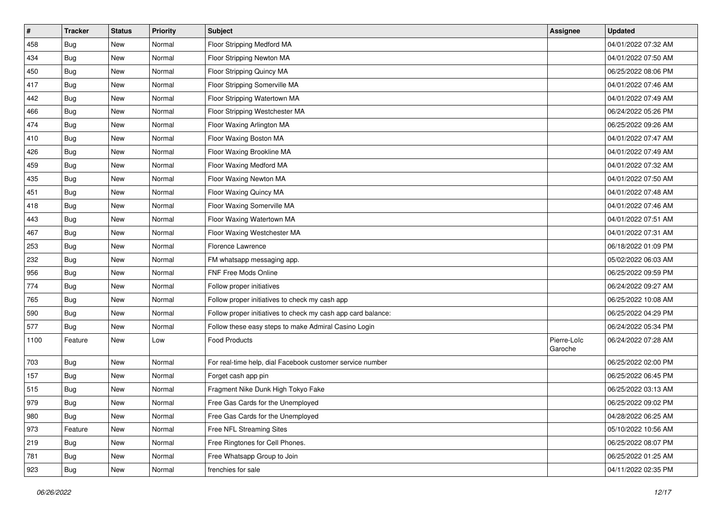| $\vert$ # | <b>Tracker</b> | <b>Status</b> | <b>Priority</b> | <b>Subject</b>                                               | Assignee               | <b>Updated</b>      |
|-----------|----------------|---------------|-----------------|--------------------------------------------------------------|------------------------|---------------------|
| 458       | <b>Bug</b>     | New           | Normal          | Floor Stripping Medford MA                                   |                        | 04/01/2022 07:32 AM |
| 434       | <b>Bug</b>     | New           | Normal          | Floor Stripping Newton MA                                    |                        | 04/01/2022 07:50 AM |
| 450       | Bug            | New           | Normal          | Floor Stripping Quincy MA                                    |                        | 06/25/2022 08:06 PM |
| 417       | <b>Bug</b>     | New           | Normal          | Floor Stripping Somerville MA                                |                        | 04/01/2022 07:46 AM |
| 442       | Bug            | New           | Normal          | Floor Stripping Watertown MA                                 |                        | 04/01/2022 07:49 AM |
| 466       | <b>Bug</b>     | New           | Normal          | Floor Stripping Westchester MA                               |                        | 06/24/2022 05:26 PM |
| 474       | <b>Bug</b>     | New           | Normal          | Floor Waxing Arlington MA                                    |                        | 06/25/2022 09:26 AM |
| 410       | <b>Bug</b>     | New           | Normal          | Floor Waxing Boston MA                                       |                        | 04/01/2022 07:47 AM |
| 426       | <b>Bug</b>     | New           | Normal          | Floor Waxing Brookline MA                                    |                        | 04/01/2022 07:49 AM |
| 459       | Bug            | New           | Normal          | Floor Waxing Medford MA                                      |                        | 04/01/2022 07:32 AM |
| 435       | Bug            | New           | Normal          | Floor Waxing Newton MA                                       |                        | 04/01/2022 07:50 AM |
| 451       | <b>Bug</b>     | New           | Normal          | Floor Waxing Quincy MA                                       |                        | 04/01/2022 07:48 AM |
| 418       | Bug            | New           | Normal          | Floor Waxing Somerville MA                                   |                        | 04/01/2022 07:46 AM |
| 443       | <b>Bug</b>     | New           | Normal          | Floor Waxing Watertown MA                                    |                        | 04/01/2022 07:51 AM |
| 467       | Bug            | New           | Normal          | Floor Waxing Westchester MA                                  |                        | 04/01/2022 07:31 AM |
| 253       | Bug            | New           | Normal          | Florence Lawrence                                            |                        | 06/18/2022 01:09 PM |
| 232       | <b>Bug</b>     | New           | Normal          | FM whatsapp messaging app.                                   |                        | 05/02/2022 06:03 AM |
| 956       | Bug            | New           | Normal          | FNF Free Mods Online                                         |                        | 06/25/2022 09:59 PM |
| 774       | Bug            | New           | Normal          | Follow proper initiatives                                    |                        | 06/24/2022 09:27 AM |
| 765       | <b>Bug</b>     | New           | Normal          | Follow proper initiatives to check my cash app               |                        | 06/25/2022 10:08 AM |
| 590       | <b>Bug</b>     | New           | Normal          | Follow proper initiatives to check my cash app card balance: |                        | 06/25/2022 04:29 PM |
| 577       | <b>Bug</b>     | New           | Normal          | Follow these easy steps to make Admiral Casino Login         |                        | 06/24/2022 05:34 PM |
| 1100      | Feature        | New           | Low             | <b>Food Products</b>                                         | Pierre-Loïc<br>Garoche | 06/24/2022 07:28 AM |
| 703       | <b>Bug</b>     | New           | Normal          | For real-time help, dial Facebook customer service number    |                        | 06/25/2022 02:00 PM |
| 157       | <b>Bug</b>     | New           | Normal          | Forget cash app pin                                          |                        | 06/25/2022 06:45 PM |
| 515       | Bug            | New           | Normal          | Fragment Nike Dunk High Tokyo Fake                           |                        | 06/25/2022 03:13 AM |
| 979       | <b>Bug</b>     | New           | Normal          | Free Gas Cards for the Unemployed                            |                        | 06/25/2022 09:02 PM |
| 980       | Bug            | New           | Normal          | Free Gas Cards for the Unemployed                            |                        | 04/28/2022 06:25 AM |
| 973       | Feature        | New           | Normal          | Free NFL Streaming Sites                                     |                        | 05/10/2022 10:56 AM |
| 219       | <b>Bug</b>     | New           | Normal          | Free Ringtones for Cell Phones.                              |                        | 06/25/2022 08:07 PM |
| 781       | <b>Bug</b>     | New           | Normal          | Free Whatsapp Group to Join                                  |                        | 06/25/2022 01:25 AM |
| 923       | <b>Bug</b>     | New           | Normal          | frenchies for sale                                           |                        | 04/11/2022 02:35 PM |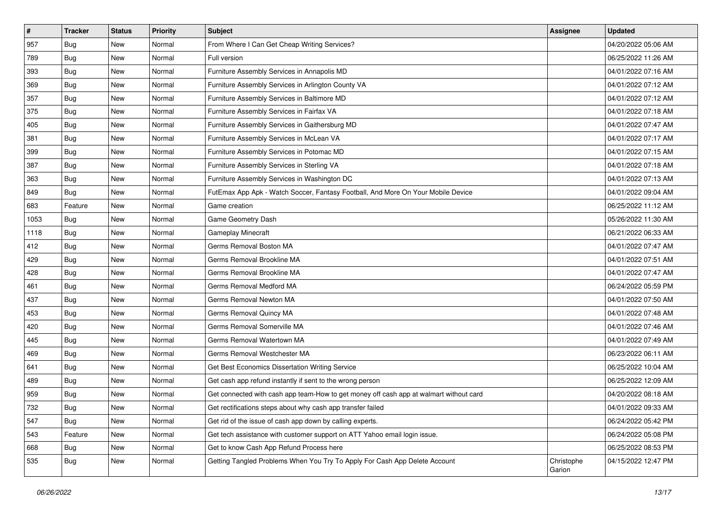| #    | <b>Tracker</b> | <b>Status</b> | <b>Priority</b> | Subject                                                                                | <b>Assignee</b>      | <b>Updated</b>      |
|------|----------------|---------------|-----------------|----------------------------------------------------------------------------------------|----------------------|---------------------|
| 957  | Bug            | New           | Normal          | From Where I Can Get Cheap Writing Services?                                           |                      | 04/20/2022 05:06 AM |
| 789  | <b>Bug</b>     | New           | Normal          | Full version                                                                           |                      | 06/25/2022 11:26 AM |
| 393  | <b>Bug</b>     | New           | Normal          | Furniture Assembly Services in Annapolis MD                                            |                      | 04/01/2022 07:16 AM |
| 369  | <b>Bug</b>     | New           | Normal          | Furniture Assembly Services in Arlington County VA                                     |                      | 04/01/2022 07:12 AM |
| 357  | Bug            | New           | Normal          | Furniture Assembly Services in Baltimore MD                                            |                      | 04/01/2022 07:12 AM |
| 375  | Bug            | New           | Normal          | Furniture Assembly Services in Fairfax VA                                              |                      | 04/01/2022 07:18 AM |
| 405  | Bug            | New           | Normal          | Furniture Assembly Services in Gaithersburg MD                                         |                      | 04/01/2022 07:47 AM |
| 381  | <b>Bug</b>     | New           | Normal          | Furniture Assembly Services in McLean VA                                               |                      | 04/01/2022 07:17 AM |
| 399  | Bug            | New           | Normal          | Furniture Assembly Services in Potomac MD                                              |                      | 04/01/2022 07:15 AM |
| 387  | Bug            | New           | Normal          | Furniture Assembly Services in Sterling VA                                             |                      | 04/01/2022 07:18 AM |
| 363  | Bug            | New           | Normal          | Furniture Assembly Services in Washington DC                                           |                      | 04/01/2022 07:13 AM |
| 849  | Bug            | New           | Normal          | FutEmax App Apk - Watch Soccer, Fantasy Football, And More On Your Mobile Device       |                      | 04/01/2022 09:04 AM |
| 683  | Feature        | New           | Normal          | Game creation                                                                          |                      | 06/25/2022 11:12 AM |
| 1053 | Bug            | New           | Normal          | Game Geometry Dash                                                                     |                      | 05/26/2022 11:30 AM |
| 1118 | Bug            | New           | Normal          | <b>Gameplay Minecraft</b>                                                              |                      | 06/21/2022 06:33 AM |
| 412  | Bug            | New           | Normal          | Germs Removal Boston MA                                                                |                      | 04/01/2022 07:47 AM |
| 429  | Bug            | New           | Normal          | Germs Removal Brookline MA                                                             |                      | 04/01/2022 07:51 AM |
| 428  | Bug            | New           | Normal          | Germs Removal Brookline MA                                                             |                      | 04/01/2022 07:47 AM |
| 461  | Bug            | New           | Normal          | Germs Removal Medford MA                                                               |                      | 06/24/2022 05:59 PM |
| 437  | <b>Bug</b>     | New           | Normal          | Germs Removal Newton MA                                                                |                      | 04/01/2022 07:50 AM |
| 453  | Bug            | New           | Normal          | Germs Removal Quincy MA                                                                |                      | 04/01/2022 07:48 AM |
| 420  | Bug            | New           | Normal          | Germs Removal Somerville MA                                                            |                      | 04/01/2022 07:46 AM |
| 445  | Bug            | New           | Normal          | Germs Removal Watertown MA                                                             |                      | 04/01/2022 07:49 AM |
| 469  | Bug            | New           | Normal          | Germs Removal Westchester MA                                                           |                      | 06/23/2022 06:11 AM |
| 641  | Bug            | New           | Normal          | Get Best Economics Dissertation Writing Service                                        |                      | 06/25/2022 10:04 AM |
| 489  | Bug            | New           | Normal          | Get cash app refund instantly if sent to the wrong person                              |                      | 06/25/2022 12:09 AM |
| 959  | Bug            | New           | Normal          | Get connected with cash app team-How to get money off cash app at walmart without card |                      | 04/20/2022 08:18 AM |
| 732  | <b>Bug</b>     | New           | Normal          | Get rectifications steps about why cash app transfer failed                            |                      | 04/01/2022 09:33 AM |
| 547  | <b>Bug</b>     | New           | Normal          | Get rid of the issue of cash app down by calling experts.                              |                      | 06/24/2022 05:42 PM |
| 543  | Feature        | New           | Normal          | Get tech assistance with customer support on ATT Yahoo email login issue.              |                      | 06/24/2022 05:08 PM |
| 668  | <b>Bug</b>     | New           | Normal          | Get to know Cash App Refund Process here                                               |                      | 06/25/2022 08:53 PM |
| 535  | Bug            | New           | Normal          | Getting Tangled Problems When You Try To Apply For Cash App Delete Account             | Christophe<br>Garion | 04/15/2022 12:47 PM |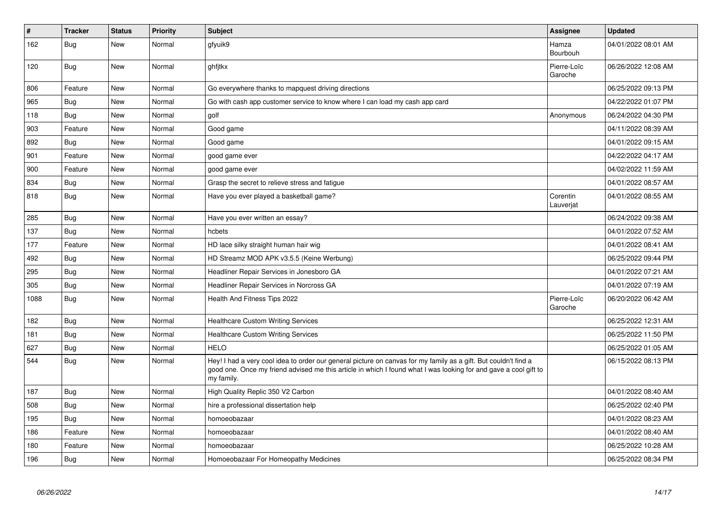| $\vert$ # | <b>Tracker</b> | <b>Status</b> | <b>Priority</b> | <b>Subject</b>                                                                                                                                                                                                                                    | Assignee               | <b>Updated</b>      |
|-----------|----------------|---------------|-----------------|---------------------------------------------------------------------------------------------------------------------------------------------------------------------------------------------------------------------------------------------------|------------------------|---------------------|
| 162       | Bug            | New           | Normal          | gfyuik9                                                                                                                                                                                                                                           | Hamza<br>Bourbouh      | 04/01/2022 08:01 AM |
| 120       | <b>Bug</b>     | New           | Normal          | ghfjtkx                                                                                                                                                                                                                                           | Pierre-Loïc<br>Garoche | 06/26/2022 12:08 AM |
| 806       | Feature        | New           | Normal          | Go everywhere thanks to mapquest driving directions                                                                                                                                                                                               |                        | 06/25/2022 09:13 PM |
| 965       | <b>Bug</b>     | New           | Normal          | Go with cash app customer service to know where I can load my cash app card                                                                                                                                                                       |                        | 04/22/2022 01:07 PM |
| 118       | Bug            | New           | Normal          | golf                                                                                                                                                                                                                                              | Anonymous              | 06/24/2022 04:30 PM |
| 903       | Feature        | <b>New</b>    | Normal          | Good game                                                                                                                                                                                                                                         |                        | 04/11/2022 08:39 AM |
| 892       | Bug            | New           | Normal          | Good game                                                                                                                                                                                                                                         |                        | 04/01/2022 09:15 AM |
| 901       | Feature        | <b>New</b>    | Normal          | good game ever                                                                                                                                                                                                                                    |                        | 04/22/2022 04:17 AM |
| 900       | Feature        | New           | Normal          | good game ever                                                                                                                                                                                                                                    |                        | 04/02/2022 11:59 AM |
| 834       | <b>Bug</b>     | <b>New</b>    | Normal          | Grasp the secret to relieve stress and fatigue                                                                                                                                                                                                    |                        | 04/01/2022 08:57 AM |
| 818       | Bug            | New           | Normal          | Have you ever played a basketball game?                                                                                                                                                                                                           | Corentin<br>Lauverjat  | 04/01/2022 08:55 AM |
| 285       | Bug            | <b>New</b>    | Normal          | Have you ever written an essay?                                                                                                                                                                                                                   |                        | 06/24/2022 09:38 AM |
| 137       | <b>Bug</b>     | New           | Normal          | hcbets                                                                                                                                                                                                                                            |                        | 04/01/2022 07:52 AM |
| 177       | Feature        | New           | Normal          | HD lace silky straight human hair wig                                                                                                                                                                                                             |                        | 04/01/2022 08:41 AM |
| 492       | <b>Bug</b>     | <b>New</b>    | Normal          | HD Streamz MOD APK v3.5.5 (Keine Werbung)                                                                                                                                                                                                         |                        | 06/25/2022 09:44 PM |
| 295       | Bug            | New           | Normal          | Headliner Repair Services in Jonesboro GA                                                                                                                                                                                                         |                        | 04/01/2022 07:21 AM |
| 305       | Bug            | New           | Normal          | Headliner Repair Services in Norcross GA                                                                                                                                                                                                          |                        | 04/01/2022 07:19 AM |
| 1088      | Bug            | New           | Normal          | Health And Fitness Tips 2022                                                                                                                                                                                                                      | Pierre-Loïc<br>Garoche | 06/20/2022 06:42 AM |
| 182       | <b>Bug</b>     | New           | Normal          | <b>Healthcare Custom Writing Services</b>                                                                                                                                                                                                         |                        | 06/25/2022 12:31 AM |
| 181       | Bug            | New           | Normal          | <b>Healthcare Custom Writing Services</b>                                                                                                                                                                                                         |                        | 06/25/2022 11:50 PM |
| 627       | <b>Bug</b>     | New           | Normal          | <b>HELO</b>                                                                                                                                                                                                                                       |                        | 06/25/2022 01:05 AM |
| 544       | Bug            | New           | Normal          | Hey! I had a very cool idea to order our general picture on canvas for my family as a gift. But couldn't find a<br>good one. Once my friend advised me this article in which I found what I was looking for and gave a cool gift to<br>my family. |                        | 06/15/2022 08:13 PM |
| 187       | <b>Bug</b>     | New           | Normal          | High Quality Replic 350 V2 Carbon                                                                                                                                                                                                                 |                        | 04/01/2022 08:40 AM |
| 508       | Bug            | New           | Normal          | hire a professional dissertation help                                                                                                                                                                                                             |                        | 06/25/2022 02:40 PM |
| 195       | Bug            | New           | Normal          | homoeobazaar                                                                                                                                                                                                                                      |                        | 04/01/2022 08:23 AM |
| 186       | Feature        | New           | Normal          | homoeobazaar                                                                                                                                                                                                                                      |                        | 04/01/2022 08:40 AM |
| 180       | Feature        | New           | Normal          | homoeobazaar                                                                                                                                                                                                                                      |                        | 06/25/2022 10:28 AM |
| 196       | Bug            | New           | Normal          | Homoeobazaar For Homeopathy Medicines                                                                                                                                                                                                             |                        | 06/25/2022 08:34 PM |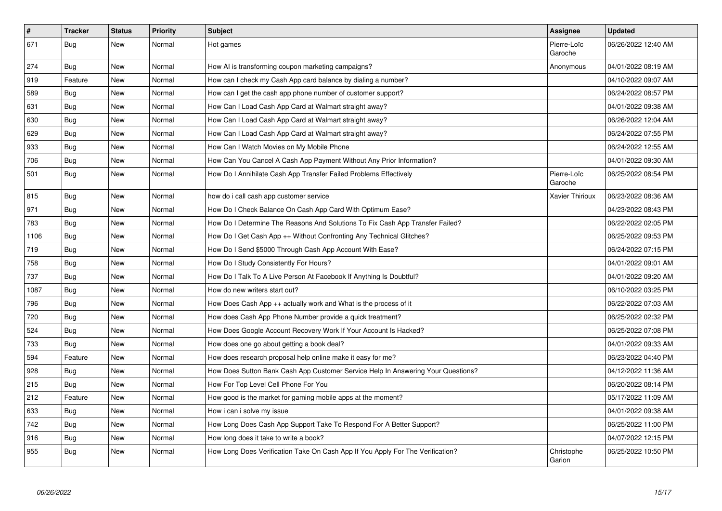| $\vert$ # | <b>Tracker</b> | <b>Status</b> | <b>Priority</b> | <b>Subject</b>                                                                   | Assignee               | <b>Updated</b>      |
|-----------|----------------|---------------|-----------------|----------------------------------------------------------------------------------|------------------------|---------------------|
| 671       | Bug            | New           | Normal          | Hot games                                                                        | Pierre-Loïc<br>Garoche | 06/26/2022 12:40 AM |
| 274       | <b>Bug</b>     | <b>New</b>    | Normal          | How AI is transforming coupon marketing campaigns?                               | Anonymous              | 04/01/2022 08:19 AM |
| 919       | Feature        | New           | Normal          | How can I check my Cash App card balance by dialing a number?                    |                        | 04/10/2022 09:07 AM |
| 589       | <b>Bug</b>     | <b>New</b>    | Normal          | How can I get the cash app phone number of customer support?                     |                        | 06/24/2022 08:57 PM |
| 631       | Bug            | <b>New</b>    | Normal          | How Can I Load Cash App Card at Walmart straight away?                           |                        | 04/01/2022 09:38 AM |
| 630       | <b>Bug</b>     | <b>New</b>    | Normal          | How Can I Load Cash App Card at Walmart straight away?                           |                        | 06/26/2022 12:04 AM |
| 629       | <b>Bug</b>     | <b>New</b>    | Normal          | How Can I Load Cash App Card at Walmart straight away?                           |                        | 06/24/2022 07:55 PM |
| 933       | <b>Bug</b>     | <b>New</b>    | Normal          | How Can I Watch Movies on My Mobile Phone                                        |                        | 06/24/2022 12:55 AM |
| 706       | Bug            | New           | Normal          | How Can You Cancel A Cash App Payment Without Any Prior Information?             |                        | 04/01/2022 09:30 AM |
| 501       | Bug            | New           | Normal          | How Do I Annihilate Cash App Transfer Failed Problems Effectively                | Pierre-Loïc<br>Garoche | 06/25/2022 08:54 PM |
| 815       | Bug            | <b>New</b>    | Normal          | how do i call cash app customer service                                          | <b>Xavier Thirioux</b> | 06/23/2022 08:36 AM |
| 971       | <b>Bug</b>     | New           | Normal          | How Do I Check Balance On Cash App Card With Optimum Ease?                       |                        | 04/23/2022 08:43 PM |
| 783       | <b>Bug</b>     | New           | Normal          | How Do I Determine The Reasons And Solutions To Fix Cash App Transfer Failed?    |                        | 06/22/2022 02:05 PM |
| 1106      | Bug            | New           | Normal          | How Do I Get Cash App ++ Without Confronting Any Technical Glitches?             |                        | 06/25/2022 09:53 PM |
| 719       | <b>Bug</b>     | New           | Normal          | How Do I Send \$5000 Through Cash App Account With Ease?                         |                        | 06/24/2022 07:15 PM |
| 758       | Bug            | New           | Normal          | How Do I Study Consistently For Hours?                                           |                        | 04/01/2022 09:01 AM |
| 737       | <b>Bug</b>     | New           | Normal          | How Do I Talk To A Live Person At Facebook If Anything Is Doubtful?              |                        | 04/01/2022 09:20 AM |
| 1087      | Bug            | New           | Normal          | How do new writers start out?                                                    |                        | 06/10/2022 03:25 PM |
| 796       | Bug            | New           | Normal          | How Does Cash App ++ actually work and What is the process of it                 |                        | 06/22/2022 07:03 AM |
| 720       | Bug            | New           | Normal          | How does Cash App Phone Number provide a quick treatment?                        |                        | 06/25/2022 02:32 PM |
| 524       | <b>Bug</b>     | <b>New</b>    | Normal          | How Does Google Account Recovery Work If Your Account Is Hacked?                 |                        | 06/25/2022 07:08 PM |
| 733       | Bug            | <b>New</b>    | Normal          | How does one go about getting a book deal?                                       |                        | 04/01/2022 09:33 AM |
| 594       | Feature        | New           | Normal          | How does research proposal help online make it easy for me?                      |                        | 06/23/2022 04:40 PM |
| 928       | Bug            | New           | Normal          | How Does Sutton Bank Cash App Customer Service Help In Answering Your Questions? |                        | 04/12/2022 11:36 AM |
| 215       | <b>Bug</b>     | <b>New</b>    | Normal          | How For Top Level Cell Phone For You                                             |                        | 06/20/2022 08:14 PM |
| 212       | Feature        | <b>New</b>    | Normal          | How good is the market for gaming mobile apps at the moment?                     |                        | 05/17/2022 11:09 AM |
| 633       | <b>Bug</b>     | New           | Normal          | How i can i solve my issue                                                       |                        | 04/01/2022 09:38 AM |
| 742       | Bug            | New           | Normal          | How Long Does Cash App Support Take To Respond For A Better Support?             |                        | 06/25/2022 11:00 PM |
| 916       | Bug            | New           | Normal          | How long does it take to write a book?                                           |                        | 04/07/2022 12:15 PM |
| 955       | Bug            | New           | Normal          | How Long Does Verification Take On Cash App If You Apply For The Verification?   | Christophe<br>Garion   | 06/25/2022 10:50 PM |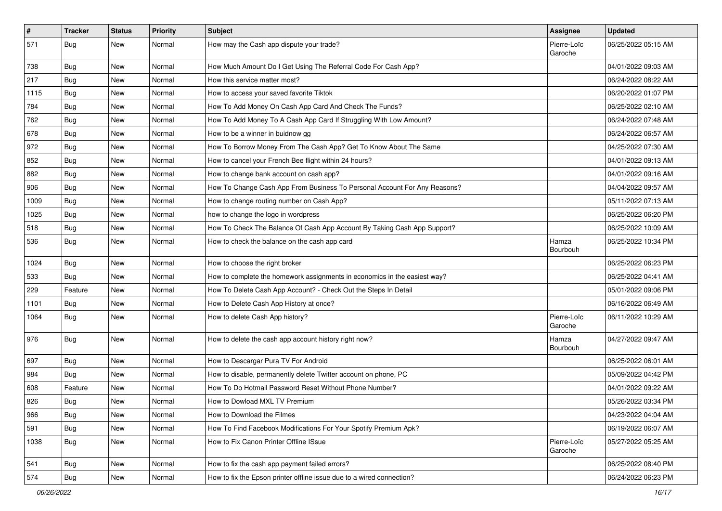| $\vert$ # | Tracker    | <b>Status</b> | <b>Priority</b> | <b>Subject</b>                                                            | Assignee               | <b>Updated</b>      |
|-----------|------------|---------------|-----------------|---------------------------------------------------------------------------|------------------------|---------------------|
| 571       | <b>Bug</b> | New           | Normal          | How may the Cash app dispute your trade?                                  | Pierre-Loïc<br>Garoche | 06/25/2022 05:15 AM |
| 738       | Bug        | New           | Normal          | How Much Amount Do I Get Using The Referral Code For Cash App?            |                        | 04/01/2022 09:03 AM |
| 217       | <b>Bug</b> | New           | Normal          | How this service matter most?                                             |                        | 06/24/2022 08:22 AM |
| 1115      | Bug        | <b>New</b>    | Normal          | How to access your saved favorite Tiktok                                  |                        | 06/20/2022 01:07 PM |
| 784       | <b>Bug</b> | New           | Normal          | How To Add Money On Cash App Card And Check The Funds?                    |                        | 06/25/2022 02:10 AM |
| 762       | <b>Bug</b> | <b>New</b>    | Normal          | How To Add Money To A Cash App Card If Struggling With Low Amount?        |                        | 06/24/2022 07:48 AM |
| 678       | Bug        | New           | Normal          | How to be a winner in buidnow gg                                          |                        | 06/24/2022 06:57 AM |
| 972       | <b>Bug</b> | New           | Normal          | How To Borrow Money From The Cash App? Get To Know About The Same         |                        | 04/25/2022 07:30 AM |
| 852       | <b>Bug</b> | <b>New</b>    | Normal          | How to cancel your French Bee flight within 24 hours?                     |                        | 04/01/2022 09:13 AM |
| 882       | <b>Bug</b> | New           | Normal          | How to change bank account on cash app?                                   |                        | 04/01/2022 09:16 AM |
| 906       | Bug        | New           | Normal          | How To Change Cash App From Business To Personal Account For Any Reasons? |                        | 04/04/2022 09:57 AM |
| 1009      | Bug        | New           | Normal          | How to change routing number on Cash App?                                 |                        | 05/11/2022 07:13 AM |
| 1025      | <b>Bug</b> | <b>New</b>    | Normal          | how to change the logo in wordpress                                       |                        | 06/25/2022 06:20 PM |
| 518       | Bug        | New           | Normal          | How To Check The Balance Of Cash App Account By Taking Cash App Support?  |                        | 06/25/2022 10:09 AM |
| 536       | <b>Bug</b> | New           | Normal          | How to check the balance on the cash app card                             | Hamza<br>Bourbouh      | 06/25/2022 10:34 PM |
| 1024      | Bug        | <b>New</b>    | Normal          | How to choose the right broker                                            |                        | 06/25/2022 06:23 PM |
| 533       | Bug        | New           | Normal          | How to complete the homework assignments in economics in the easiest way? |                        | 06/25/2022 04:41 AM |
| 229       | Feature    | New           | Normal          | How To Delete Cash App Account? - Check Out the Steps In Detail           |                        | 05/01/2022 09:06 PM |
| 1101      | <b>Bug</b> | New           | Normal          | How to Delete Cash App History at once?                                   |                        | 06/16/2022 06:49 AM |
| 1064      | <b>Bug</b> | New           | Normal          | How to delete Cash App history?                                           | Pierre-Loïc<br>Garoche | 06/11/2022 10:29 AM |
| 976       | Bug        | New           | Normal          | How to delete the cash app account history right now?                     | Hamza<br>Bourbouh      | 04/27/2022 09:47 AM |
| 697       | Bug        | <b>New</b>    | Normal          | How to Descargar Pura TV For Android                                      |                        | 06/25/2022 06:01 AM |
| 984       | <b>Bug</b> | New           | Normal          | How to disable, permanently delete Twitter account on phone, PC           |                        | 05/09/2022 04:42 PM |
| 608       | Feature    | New           | Normal          | How To Do Hotmail Password Reset Without Phone Number?                    |                        | 04/01/2022 09:22 AM |
| 826       | <b>Bug</b> | New           | Normal          | How to Dowload MXL TV Premium                                             |                        | 05/26/2022 03:34 PM |
| 966       | <b>Bug</b> | New           | Normal          | How to Download the Filmes                                                |                        | 04/23/2022 04:04 AM |
| 591       | Bug        | New           | Normal          | How To Find Facebook Modifications For Your Spotify Premium Apk?          |                        | 06/19/2022 06:07 AM |
| 1038      | Bug        | New           | Normal          | How to Fix Canon Printer Offline ISsue                                    | Pierre-Loïc<br>Garoche | 05/27/2022 05:25 AM |
| 541       | Bug        | New           | Normal          | How to fix the cash app payment failed errors?                            |                        | 06/25/2022 08:40 PM |
| 574       | <b>Bug</b> | New           | Normal          | How to fix the Epson printer offline issue due to a wired connection?     |                        | 06/24/2022 06:23 PM |